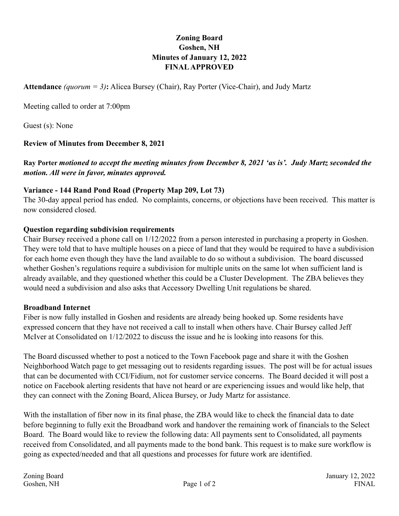# **Zoning Board Goshen, NH Minutes of January 12, 2022 FINAL APPROVED**

**Attendance** *(quorum = 3)***:** Alicea Bursey (Chair), Ray Porter (Vice-Chair), and Judy Martz

Meeting called to order at 7:00pm

Guest (s): None

## **Review of Minutes from December 8, 2021**

**Ray Porter** *motioned to accept the meeting minutes from December 8, 2021 'as is'. Judy Martz seconded the motion. All were in favor, minutes approved.* 

### **Variance - 144 Rand Pond Road (Property Map 209, Lot 73)**

The 30-day appeal period has ended. No complaints, concerns, or objections have been received. This matter is now considered closed.

## **Question regarding subdivision requirements**

Chair Bursey received a phone call on 1/12/2022 from a person interested in purchasing a property in Goshen. They were told that to have multiple houses on a piece of land that they would be required to have a subdivision for each home even though they have the land available to do so without a subdivision. The board discussed whether Goshen's regulations require a subdivision for multiple units on the same lot when sufficient land is already available, and they questioned whether this could be a Cluster Development. The ZBA believes they would need a subdivision and also asks that Accessory Dwelling Unit regulations be shared.

#### **Broadband Internet**

Fiber is now fully installed in Goshen and residents are already being hooked up. Some residents have expressed concern that they have not received a call to install when others have. Chair Bursey called Jeff McIver at Consolidated on 1/12/2022 to discuss the issue and he is looking into reasons for this.

The Board discussed whether to post a noticed to the Town Facebook page and share it with the Goshen Neighborhood Watch page to get messaging out to residents regarding issues. The post will be for actual issues that can be documented with CCI/Fidium, not for customer service concerns. The Board decided it will post a notice on Facebook alerting residents that have not heard or are experiencing issues and would like help, that they can connect with the Zoning Board, Alicea Bursey, or Judy Martz for assistance.

With the installation of fiber now in its final phase, the ZBA would like to check the financial data to date before beginning to fully exit the Broadband work and handover the remaining work of financials to the Select Board. The Board would like to review the following data: All payments sent to Consolidated, all payments received from Consolidated, and all payments made to the bond bank. This request is to make sure workflow is going as expected/needed and that all questions and processes for future work are identified.